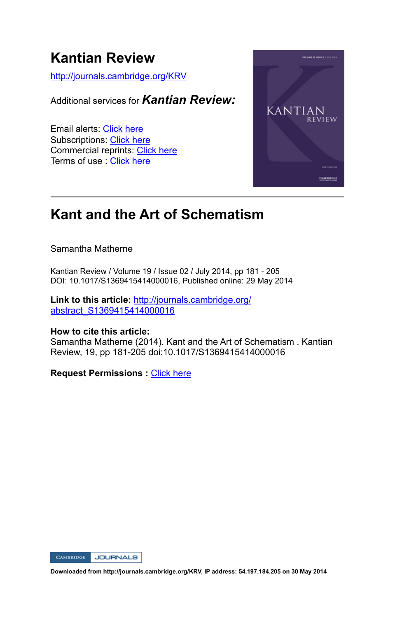# **Kantian Review**

http://journals.cambridge.org/KRV

Additional services for *Kantian Review:*

Email alerts: Click here Subscriptions: Click here Commercial reprints: Click here Terms of use : Click here



# **Kant and the Art of Schematism**

Samantha Matherne

Kantian Review / Volume 19 / Issue 02 / July 2014, pp 181 - 205 DOI: 10.1017/S1369415414000016, Published online: 29 May 2014

**Link to this article:** http://journals.cambridge.org/ abstract\_S1369415414000016

#### **How to cite this article:**

Samantha Matherne (2014). Kant and the Art of Schematism . Kantian Review, 19, pp 181-205 doi:10.1017/S1369415414000016

**Request Permissions : Click here** 

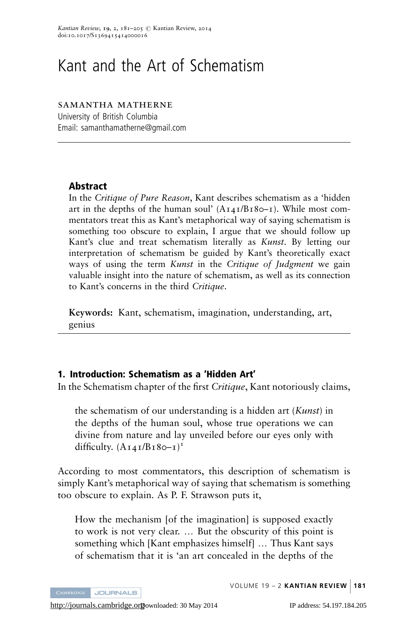# Kant and the Art of Schematism

#### samantha matherne

University of British Columbia Email: samanthamatherne@gmail.com

# Abstract

In the Critique of Pure Reason, Kant describes schematism as a 'hidden art in the depths of the human soul'  $(A<sub>I</sub>4I/B<sub>I</sub>80–I)$ . While most commentators treat this as Kant's metaphorical way of saying schematism is something too obscure to explain, I argue that we should follow up Kant's clue and treat schematism literally as Kunst. By letting our interpretation of schematism be guided by Kant's theoretically exact ways of using the term Kunst in the Critique of Judgment we gain valuable insight into the nature of schematism, as well as its connection to Kant's concerns in the third Critique.

Keywords: Kant, schematism, imagination, understanding, art, genius

# 1. Introduction: Schematism as a 'Hidden Art'

In the Schematism chapter of the first Critique, Kant notoriously claims,

the schematism of our understanding is a hidden art (*Kunst*) in the depths of the human soul, whose true operations we can divine from nature and lay unveiled before our eyes only with difficulty.  $(A_1A_1/B_180-1)^T$ 

According to most commentators, this description of schematism is simply Kant's metaphorical way of saying that schematism is something too obscure to explain. As P. F. Strawson puts it,

How the mechanism [of the imagination] is supposed exactly to work is not very clear. ... But the obscurity of this point is something which [Kant emphasizes himself] ... Thus Kant says of schematism that it is 'an art concealed in the depths of the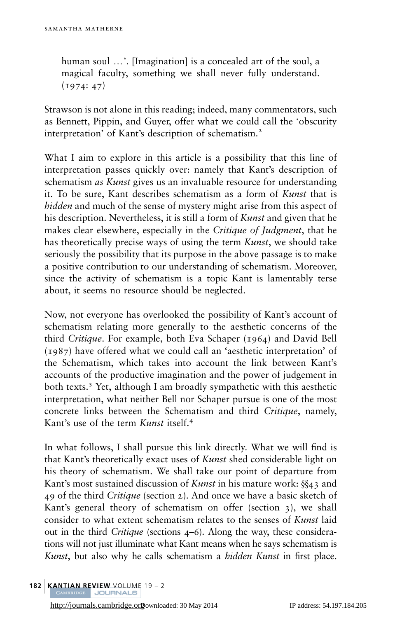human soul ...'. [Imagination] is a concealed art of the soul, a magical faculty, something we shall never fully understand.  $(1974: 47)$ 

Strawson is not alone in this reading; indeed, many commentators, such as Bennett, Pippin, and Guyer, offer what we could call the 'obscurity interpretation' of Kant's description of schematism.<sup>2</sup>

What I aim to explore in this article is a possibility that this line of interpretation passes quickly over: namely that Kant's description of schematism *as Kunst* gives us an invaluable resource for understanding it. To be sure, Kant describes schematism as a form of Kunst that is hidden and much of the sense of mystery might arise from this aspect of his description. Nevertheless, it is still a form of Kunst and given that he makes clear elsewhere, especially in the Critique of Judgment, that he has theoretically precise ways of using the term *Kunst*, we should take seriously the possibility that its purpose in the above passage is to make a positive contribution to our understanding of schematism. Moreover, since the activity of schematism is a topic Kant is lamentably terse about, it seems no resource should be neglected.

Now, not everyone has overlooked the possibility of Kant's account of schematism relating more generally to the aesthetic concerns of the third Critique. For example, both Eva Schaper ([1964](#page-25-0)) and David Bell ([1987](#page-24-0)) have offered what we could call an 'aesthetic interpretation' of the Schematism, which takes into account the link between Kant's accounts of the productive imagination and the power of judgement in both texts.<sup>3</sup> Yet, although I am broadly sympathetic with this aesthetic interpretation, what neither Bell nor Schaper pursue is one of the most concrete links between the Schematism and third Critique, namely, Kant's use of the term Kunst itself.<sup>4</sup>

In what follows, I shall pursue this link directly. What we will find is that Kant's theoretically exact uses of Kunst shed considerable light on his theory of schematism. We shall take our point of departure from Kant's most sustained discussion of *Kunst* in his mature work:  $\S$ 43 and 49 of the third Critique (section 2). And once we have a basic sketch of Kant's general theory of schematism on offer (section 3), we shall consider to what extent schematism relates to the senses of Kunst laid out in the third Critique (sections 4–6). Along the way, these considerations will not just illuminate what Kant means when he says schematism is Kunst, but also why he calls schematism a *hidden Kunst* in first place.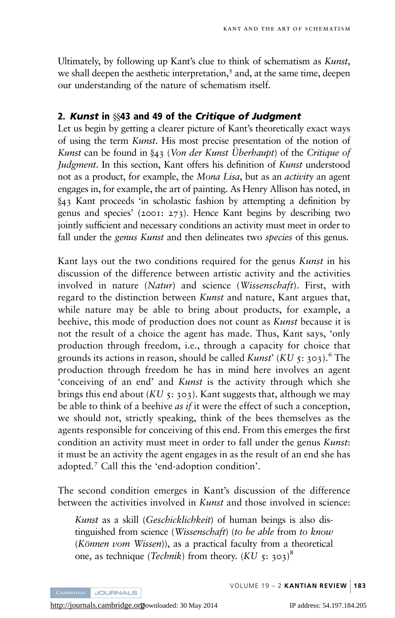Ultimately, by following up Kant's clue to think of schematism as Kunst, we shall deepen the aesthetic interpretation,<sup>5</sup> and, at the same time, deepen our understanding of the nature of schematism itself.

# 2. Kunst in  $\$ 43 and 49 of the Critique of Judgment

Let us begin by getting a clearer picture of Kant's theoretically exact ways of using the term Kunst. His most precise presentation of the notion of Kunst can be found in  $\S$ 43 (Von der Kunst Überhaupt) of the Critique of Judgment. In this section, Kant offers his definition of Kunst understood not as a product, for example, the Mona Lisa, but as an activity an agent engages in, for example, the art of painting. As Henry Allison has noted, in y<sup>43</sup> Kant proceeds 'in scholastic fashion by attempting a definition by genus and species' (2001: 273). Hence Kant begins by describing two jointly sufficient and necessary conditions an activity must meet in order to fall under the *genus Kunst* and then delineates two *species* of this genus.

Kant lays out the two conditions required for the genus Kunst in his discussion of the difference between artistic activity and the activities involved in nature (Natur) and science (Wissenschaft). First, with regard to the distinction between *Kunst* and nature, Kant argues that, while nature may be able to bring about products, for example, a beehive, this mode of production does not count as *Kunst* because it is not the result of a choice the agent has made. Thus, Kant says, 'only production through freedom, i.e., through a capacity for choice that grounds its actions in reason, should be called *Kunst'* (*KU* 5: 303).<sup>6</sup> The production through freedom he has in mind here involves an agent 'conceiving of an end' and Kunst is the activity through which she brings this end about (KU 5: 303). Kant suggests that, although we may be able to think of a beehive *as if* it were the effect of such a conception, we should not, strictly speaking, think of the bees themselves as the agents responsible for conceiving of this end. From this emerges the first condition an activity must meet in order to fall under the genus Kunst: it must be an activity the agent engages in as the result of an end she has adopted.<sup>7</sup> Call this the 'end-adoption condition'.

The second condition emerges in Kant's discussion of the difference between the activities involved in *Kunst* and those involved in science:

Kunst as a skill (Geschicklichkeit) of human beings is also distinguished from science (Wissenschaft) (to be able from to know  $(K\ddot{o}nnen \ vom Wissen)$ , as a practical faculty from a theoretical one, as technique (*Technik*) from theory.  $(KU_5: 303)^8$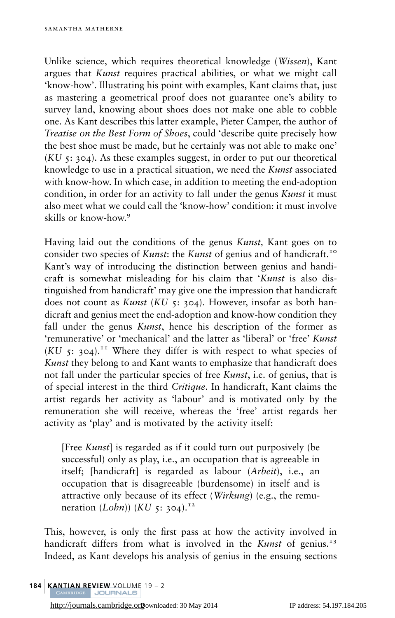Unlike science, which requires theoretical knowledge (Wissen), Kant argues that Kunst requires practical abilities, or what we might call 'know-how'. Illustrating his point with examples, Kant claims that, just as mastering a geometrical proof does not guarantee one's ability to survey land, knowing about shoes does not make one able to cobble one. As Kant describes this latter example, Pieter Camper, the author of Treatise on the Best Form of Shoes, could 'describe quite precisely how the best shoe must be made, but he certainly was not able to make one'  $(KU_5: 304)$ . As these examples suggest, in order to put our theoretical knowledge to use in a practical situation, we need the *Kunst* associated with know-how. In which case, in addition to meeting the end-adoption condition, in order for an activity to fall under the genus *Kunst* it must also meet what we could call the 'know-how' condition: it must involve skills or know-how.<sup>9</sup>

Having laid out the conditions of the genus *Kunst*, Kant goes on to consider two species of *Kunst*: the *Kunst* of genius and of handicraft.<sup>10</sup> Kant's way of introducing the distinction between genius and handicraft is somewhat misleading for his claim that 'Kunst is also distinguished from handicraft' may give one the impression that handicraft does not count as *Kunst* (*KU* 5: 304). However, insofar as both handicraft and genius meet the end-adoption and know-how condition they fall under the genus Kunst, hence his description of the former as 'remunerative' or 'mechanical' and the latter as 'liberal' or 'free' Kunst  $(KU, 5: 304).$ <sup>11</sup> Where they differ is with respect to what species of Kunst they belong to and Kant wants to emphasize that handicraft does not fall under the particular species of free *Kunst*, i.e. of genius, that is of special interest in the third Critique. In handicraft, Kant claims the artist regards her activity as 'labour' and is motivated only by the remuneration she will receive, whereas the 'free' artist regards her activity as 'play' and is motivated by the activity itself:

[Free *Kunst*] is regarded as if it could turn out purposively (be successful) only as play, i.e., an occupation that is agreeable in itself; [handicraft] is regarded as labour (Arbeit), i.e., an occupation that is disagreeable (burdensome) in itself and is attractive only because of its effect (Wirkung) (e.g., the remuneration (*Lohn*)) (*KU* 5: 304).<sup>12</sup>

This, however, is only the first pass at how the activity involved in handicraft differs from what is involved in the Kunst of genius.<sup>13</sup> Indeed, as Kant develops his analysis of genius in the ensuing sections

184 | KANTIAN REVIEW VOLUME 19 – 2<br>CAMBRIDGE | JOURNALS

<http://journals.cambridge.org>Downloaded: 30 May 2014 IP address: 54.197.184.205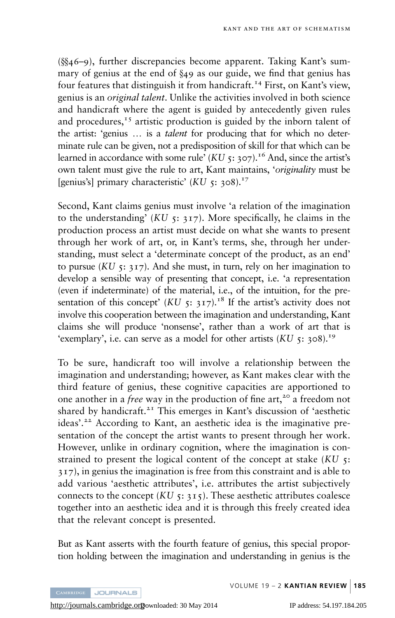$(8846-9)$ , further discrepancies become apparent. Taking Kant's summary of genius at the end of  $\S$ 49 as our guide, we find that genius has four features that distinguish it from handicraft.<sup>14</sup> First, on Kant's view, genius is an original talent. Unlike the activities involved in both science and handicraft where the agent is guided by antecedently given rules and procedures,<sup> $15$ </sup> artistic production is guided by the inborn talent of the artist: 'genius ... is a *talent* for producing that for which no determinate rule can be given, not a predisposition of skill for that which can be learned in accordance with some rule' (KU 5: 307).<sup>16</sup> And, since the artist's own talent must give the rule to art, Kant maintains, 'originality must be [genius's] primary characteristic'  $(KU_5: 308)^{17}$ 

Second, Kant claims genius must involve 'a relation of the imagination to the understanding'  $(KU_5: 317)$ . More specifically, he claims in the production process an artist must decide on what she wants to present through her work of art, or, in Kant's terms, she, through her understanding, must select a 'determinate concept of the product, as an end' to pursue (KU  $5: 317$ ). And she must, in turn, rely on her imagination to develop a sensible way of presenting that concept, i.e. 'a representation (even if indeterminate) of the material, i.e., of the intuition, for the presentation of this concept' (KU 5: 317).<sup>18</sup> If the artist's activity does not involve this cooperation between the imagination and understanding, Kant claims she will produce 'nonsense', rather than a work of art that is 'exemplary', i.e. can serve as a model for other artists  $(KU_5: 308)^{19}$ 

To be sure, handicraft too will involve a relationship between the imagination and understanding; however, as Kant makes clear with the third feature of genius, these cognitive capacities are apportioned to one another in a *free* way in the production of fine  $art^2$ <sup>20</sup> a freedom not shared by handicraft.<sup>21</sup> This emerges in Kant's discussion of 'aesthetic ideas'.<sup>22</sup> According to Kant, an aesthetic idea is the imaginative presentation of the concept the artist wants to present through her work. However, unlike in ordinary cognition, where the imagination is constrained to present the logical content of the concept at stake  $(KU_5)$ : 317), in genius the imagination is free from this constraint and is able to add various 'aesthetic attributes', i.e. attributes the artist subjectively connects to the concept  $(KU_5: 315)$ . These aesthetic attributes coalesce together into an aesthetic idea and it is through this freely created idea that the relevant concept is presented.

But as Kant asserts with the fourth feature of genius, this special proportion holding between the imagination and understanding in genius is the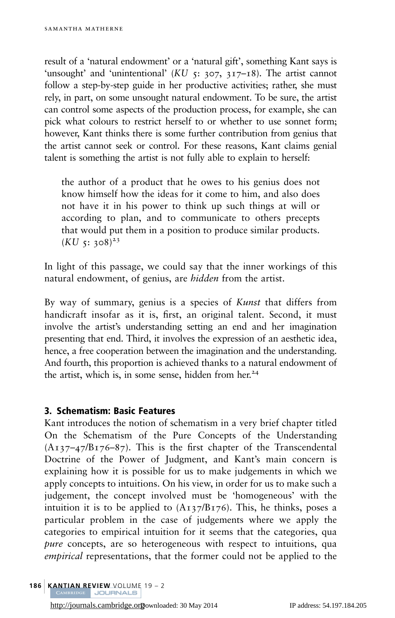result of a 'natural endowment' or a 'natural gift', something Kant says is 'unsought' and 'unintentional'  $(KU_5: 307, 317-18)$ . The artist cannot follow a step-by-step guide in her productive activities; rather, she must rely, in part, on some unsought natural endowment. To be sure, the artist can control some aspects of the production process, for example, she can pick what colours to restrict herself to or whether to use sonnet form; however, Kant thinks there is some further contribution from genius that the artist cannot seek or control. For these reasons, Kant claims genial talent is something the artist is not fully able to explain to herself:

the author of a product that he owes to his genius does not know himself how the ideas for it come to him, and also does not have it in his power to think up such things at will or according to plan, and to communicate to others precepts that would put them in a position to produce similar products.  $(KU_5: 308)^{23}$ 

In light of this passage, we could say that the inner workings of this natural endowment, of genius, are *hidden* from the artist.

By way of summary, genius is a species of *Kunst* that differs from handicraft insofar as it is, first, an original talent. Second, it must involve the artist's understanding setting an end and her imagination presenting that end. Third, it involves the expression of an aesthetic idea, hence, a free cooperation between the imagination and the understanding. And fourth, this proportion is achieved thanks to a natural endowment of the artist, which is, in some sense, hidden from her. $24$ 

#### 3. Schematism: Basic Features

Kant introduces the notion of schematism in a very brief chapter titled On the Schematism of the Pure Concepts of the Understanding  $(A_{137-47}/B_{176-87})$ . This is the first chapter of the Transcendental Doctrine of the Power of Judgment, and Kant's main concern is explaining how it is possible for us to make judgements in which we apply concepts to intuitions. On his view, in order for us to make such a judgement, the concept involved must be 'homogeneous' with the intuition it is to be applied to  $(A_{137}/B_{176})$ . This, he thinks, poses a particular problem in the case of judgements where we apply the categories to empirical intuition for it seems that the categories, qua pure concepts, are so heterogeneous with respect to intuitions, qua empirical representations, that the former could not be applied to the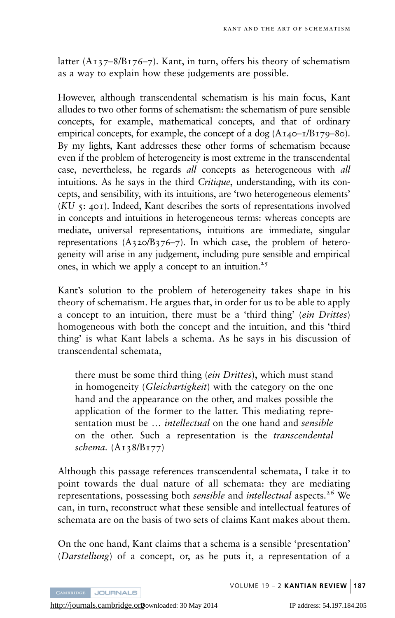latter  $(A_{137}-8/B_{176}-7)$ . Kant, in turn, offers his theory of schematism as a way to explain how these judgements are possible.

However, although transcendental schematism is his main focus, Kant alludes to two other forms of schematism: the schematism of pure sensible concepts, for example, mathematical concepts, and that of ordinary empirical concepts, for example, the concept of a dog  $(A<sub>I</sub>40–I/B<sub>I</sub>79–80)$ . By my lights, Kant addresses these other forms of schematism because even if the problem of heterogeneity is most extreme in the transcendental case, nevertheless, he regards *all* concepts as heterogeneous with *all* intuitions. As he says in the third Critique, understanding, with its concepts, and sensibility, with its intuitions, are 'two heterogeneous elements'  $(KU, \tau; \text{40I})$ . Indeed, Kant describes the sorts of representations involved in concepts and intuitions in heterogeneous terms: whereas concepts are mediate, universal representations, intuitions are immediate, singular representations  $(A_320/B_376-7)$ . In which case, the problem of heterogeneity will arise in any judgement, including pure sensible and empirical ones, in which we apply a concept to an intuition.<sup>25</sup>

Kant's solution to the problem of heterogeneity takes shape in his theory of schematism. He argues that, in order for us to be able to apply a concept to an intuition, there must be a 'third thing' (*ein Drittes*) homogeneous with both the concept and the intuition, and this 'third thing' is what Kant labels a schema. As he says in his discussion of transcendental schemata,

there must be some third thing *(ein Drittes)*, which must stand in homogeneity (Gleichartigkeit) with the category on the one hand and the appearance on the other, and makes possible the application of the former to the latter. This mediating representation must be ... *intellectual* on the one hand and *sensible* on the other. Such a representation is the transcendental schema. (A138/B177)

Although this passage references transcendental schemata, I take it to point towards the dual nature of all schemata: they are mediating representations, possessing both *sensible* and *intellectual* aspects.<sup>26</sup> We can, in turn, reconstruct what these sensible and intellectual features of schemata are on the basis of two sets of claims Kant makes about them.

On the one hand, Kant claims that a schema is a sensible 'presentation' (Darstellung) of a concept, or, as he puts it, a representation of a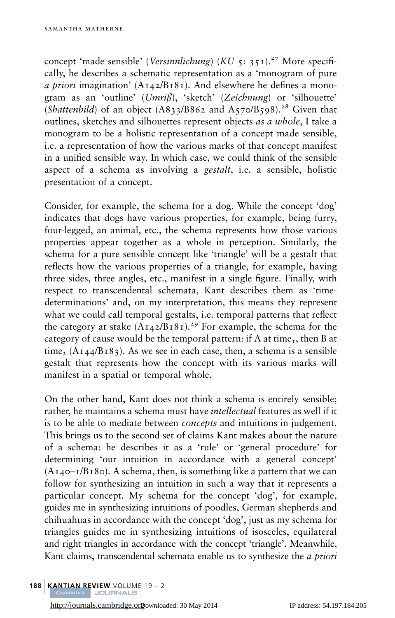concept 'made sensible' (Versinnlichung) (KU 5: 351).<sup>27</sup> More specifically, he describes a schematic representation as a 'monogram of pure a priori imagination'  $(A_{142}/B_{181})$ . And elsewhere he defines a monogram as an 'outline' (Umriß), 'sketch' (Zeichnung) or 'silhouette' (Shattenbild) of an object  $(A833/B862$  and  $A570/B598$ ).<sup>28</sup> Given that outlines, sketches and silhouettes represent objects as a whole, I take a monogram to be a holistic representation of a concept made sensible, i.e. a representation of how the various marks of that concept manifest in a unified sensible way. In which case, we could think of the sensible aspect of a schema as involving a gestalt, i.e. a sensible, holistic presentation of a concept.

Consider, for example, the schema for a dog. While the concept 'dog' indicates that dogs have various properties, for example, being furry, four-legged, an animal, etc., the schema represents how those various properties appear together as a whole in perception. Similarly, the schema for a pure sensible concept like 'triangle' will be a gestalt that reflects how the various properties of a triangle, for example, having three sides, three angles, etc., manifest in a single figure. Finally, with respect to transcendental schemata, Kant describes them as 'timedeterminations' and, on my interpretation, this means they represent what we could call temporal gestalts, i.e. temporal patterns that reflect the category at stake  $(A_{14}2/B_181)^{29}$  For example, the schema for the category of cause would be the temporal pattern: if A at time<sub>1</sub>, then B at time,  $(A_{144}/B_{183})$ . As we see in each case, then, a schema is a sensible gestalt that represents how the concept with its various marks will manifest in a spatial or temporal whole.

On the other hand, Kant does not think a schema is entirely sensible; rather, he maintains a schema must have *intellectual* features as well if it is to be able to mediate between *concepts* and intuitions in judgement. This brings us to the second set of claims Kant makes about the nature of a schema: he describes it as a 'rule' or 'general procedure' for determining 'our intuition in accordance with a general concept'  $(A_{140}-I/B_{180})$ . A schema, then, is something like a pattern that we can follow for synthesizing an intuition in such a way that it represents a particular concept. My schema for the concept 'dog', for example, guides me in synthesizing intuitions of poodles, German shepherds and chihuahuas in accordance with the concept 'dog', just as my schema for triangles guides me in synthesizing intuitions of isosceles, equilateral and right triangles in accordance with the concept 'triangle'. Meanwhile, Kant claims, transcendental schemata enable us to synthesize the *a priori*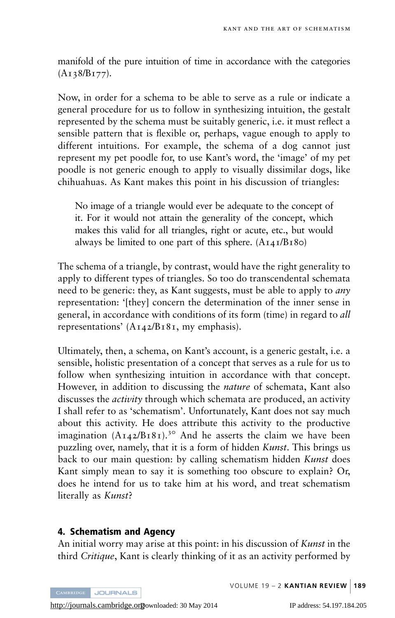manifold of the pure intuition of time in accordance with the categories  $(A_{13}8/B_{177}).$ 

Now, in order for a schema to be able to serve as a rule or indicate a general procedure for us to follow in synthesizing intuition, the gestalt represented by the schema must be suitably generic, i.e. it must reflect a sensible pattern that is flexible or, perhaps, vague enough to apply to different intuitions. For example, the schema of a dog cannot just represent my pet poodle for, to use Kant's word, the 'image' of my pet poodle is not generic enough to apply to visually dissimilar dogs, like chihuahuas. As Kant makes this point in his discussion of triangles:

No image of a triangle would ever be adequate to the concept of it. For it would not attain the generality of the concept, which makes this valid for all triangles, right or acute, etc., but would always be limited to one part of this sphere.  $(A_{I4I}/B_180)$ 

The schema of a triangle, by contrast, would have the right generality to apply to different types of triangles. So too do transcendental schemata need to be generic: they, as Kant suggests, must be able to apply to *any* representation: '[they] concern the determination of the inner sense in general, in accordance with conditions of its form (time) in regard to all representations'  $(A_{142}/B_{181}$ , my emphasis).

Ultimately, then, a schema, on Kant's account, is a generic gestalt, i.e. a sensible, holistic presentation of a concept that serves as a rule for us to follow when synthesizing intuition in accordance with that concept. However, in addition to discussing the *nature* of schemata, Kant also discusses the activity through which schemata are produced, an activity I shall refer to as 'schematism'. Unfortunately, Kant does not say much about this activity. He does attribute this activity to the productive imagination  $(A_{14}2/B_{181})$ <sup>30</sup> And he asserts the claim we have been puzzling over, namely, that it is a form of hidden *Kunst*. This brings us back to our main question: by calling schematism hidden Kunst does Kant simply mean to say it is something too obscure to explain? Or, does he intend for us to take him at his word, and treat schematism literally as *Kunst*?

#### 4. Schematism and Agency

An initial worry may arise at this point: in his discussion of Kunst in the third Critique, Kant is clearly thinking of it as an activity performed by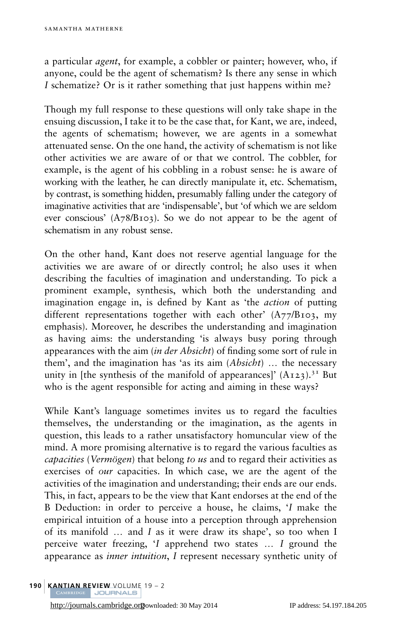a particular *agent*, for example, a cobbler or painter; however, who, if anyone, could be the agent of schematism? Is there any sense in which I schematize? Or is it rather something that just happens within me?

Though my full response to these questions will only take shape in the ensuing discussion, I take it to be the case that, for Kant, we are, indeed, the agents of schematism; however, we are agents in a somewhat attenuated sense. On the one hand, the activity of schematism is not like other activities we are aware of or that we control. The cobbler, for example, is the agent of his cobbling in a robust sense: he is aware of working with the leather, he can directly manipulate it, etc. Schematism, by contrast, is something hidden, presumably falling under the category of imaginative activities that are 'indispensable', but 'of which we are seldom ever conscious' (A78/B103). So we do not appear to be the agent of schematism in any robust sense.

On the other hand, Kant does not reserve agential language for the activities we are aware of or directly control; he also uses it when describing the faculties of imagination and understanding. To pick a prominent example, synthesis, which both the understanding and imagination engage in, is defined by Kant as 'the *action* of putting different representations together with each other'  $(A77/B103, mv)$ emphasis). Moreover, he describes the understanding and imagination as having aims: the understanding 'is always busy poring through appearances with the aim *(in der Absicht)* of finding some sort of rule in them', and the imagination has 'as its aim  $(Absicht)$  ... the necessary unity in [the synthesis of the manifold of appearances]'  $(A_123)$ .<sup>31</sup> But who is the agent responsible for acting and aiming in these ways?

While Kant's language sometimes invites us to regard the faculties themselves, the understanding or the imagination, as the agents in question, this leads to a rather unsatisfactory homuncular view of the mind. A more promising alternative is to regard the various faculties as capacities (Vermögen) that belong to us and to regard their activities as exercises of our capacities. In which case, we are the agent of the activities of the imagination and understanding; their ends are our ends. This, in fact, appears to be the view that Kant endorses at the end of the B Deduction: in order to perceive a house, he claims, 'I make the empirical intuition of a house into a perception through apprehension of its manifold  $\ldots$  and I as it were draw its shape', so too when I perceive water freezing,  $I$  apprehend two states  $\ldots$  I ground the appearance as inner intuition, I represent necessary synthetic unity of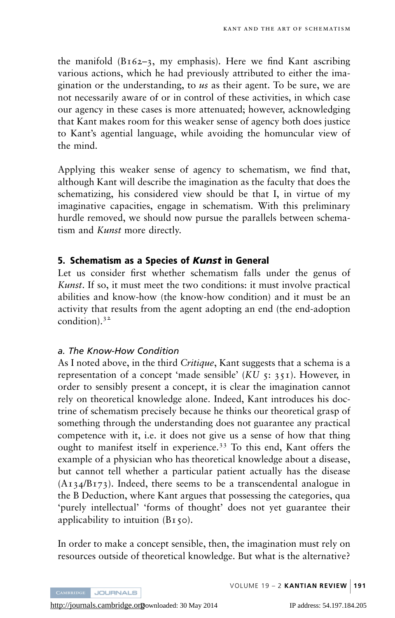the manifold  $(B_162-3, my emphasis)$ . Here we find Kant ascribing various actions, which he had previously attributed to either the imagination or the understanding, to us as their agent. To be sure, we are not necessarily aware of or in control of these activities, in which case our agency in these cases is more attenuated; however, acknowledging that Kant makes room for this weaker sense of agency both does justice to Kant's agential language, while avoiding the homuncular view of the mind.

Applying this weaker sense of agency to schematism, we find that, although Kant will describe the imagination as the faculty that does the schematizing, his considered view should be that I, in virtue of my imaginative capacities, engage in schematism. With this preliminary hurdle removed, we should now pursue the parallels between schematism and Kunst more directly.

#### 5. Schematism as a Species of Kunst in General

Let us consider first whether schematism falls under the genus of Kunst. If so, it must meet the two conditions: it must involve practical abilities and know-how (the know-how condition) and it must be an activity that results from the agent adopting an end (the end-adoption condition).<sup>32</sup>

#### a. The Know-How Condition

As I noted above, in the third Critique, Kant suggests that a schema is a representation of a concept 'made sensible' ( $KU$  5: 351). However, in order to sensibly present a concept, it is clear the imagination cannot rely on theoretical knowledge alone. Indeed, Kant introduces his doctrine of schematism precisely because he thinks our theoretical grasp of something through the understanding does not guarantee any practical competence with it, i.e. it does not give us a sense of how that thing ought to manifest itself in experience.<sup>33</sup> To this end, Kant offers the example of a physician who has theoretical knowledge about a disease, but cannot tell whether a particular patient actually has the disease  $(A_{134}/B_{173})$ . Indeed, there seems to be a transcendental analogue in the B Deduction, where Kant argues that possessing the categories, qua 'purely intellectual' 'forms of thought' does not yet guarantee their applicability to intuition  $(B_150)$ .

In order to make a concept sensible, then, the imagination must rely on resources outside of theoretical knowledge. But what is the alternative?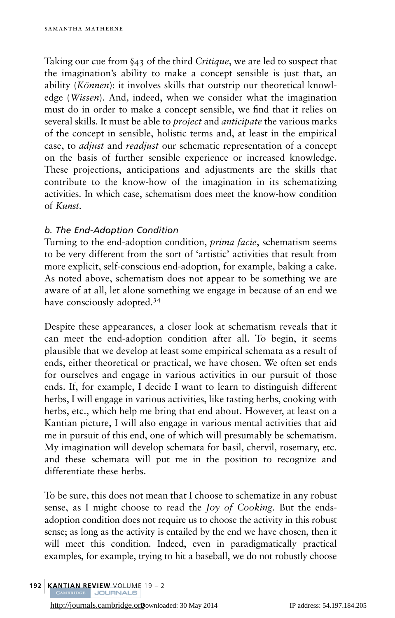Taking our cue from §43 of the third Critique, we are led to suspect that the imagination's ability to make a concept sensible is just that, an ability (Können): it involves skills that outstrip our theoretical knowledge (Wissen). And, indeed, when we consider what the imagination must do in order to make a concept sensible, we find that it relies on several skills. It must be able to *project* and *anticipate* the various marks of the concept in sensible, holistic terms and, at least in the empirical case, to adjust and readjust our schematic representation of a concept on the basis of further sensible experience or increased knowledge. These projections, anticipations and adjustments are the skills that contribute to the know-how of the imagination in its schematizing activities. In which case, schematism does meet the know-how condition of Kunst.

## b. The End-Adoption Condition

Turning to the end-adoption condition, *prima facie*, schematism seems to be very different from the sort of 'artistic' activities that result from more explicit, self-conscious end-adoption, for example, baking a cake. As noted above, schematism does not appear to be something we are aware of at all, let alone something we engage in because of an end we have consciously adopted.<sup>34</sup>

Despite these appearances, a closer look at schematism reveals that it can meet the end-adoption condition after all. To begin, it seems plausible that we develop at least some empirical schemata as a result of ends, either theoretical or practical, we have chosen. We often set ends for ourselves and engage in various activities in our pursuit of those ends. If, for example, I decide I want to learn to distinguish different herbs, I will engage in various activities, like tasting herbs, cooking with herbs, etc., which help me bring that end about. However, at least on a Kantian picture, I will also engage in various mental activities that aid me in pursuit of this end, one of which will presumably be schematism. My imagination will develop schemata for basil, chervil, rosemary, etc. and these schemata will put me in the position to recognize and differentiate these herbs.

To be sure, this does not mean that I choose to schematize in any robust sense, as I might choose to read the *Joy of Cooking*. But the endsadoption condition does not require us to choose the activity in this robust sense; as long as the activity is entailed by the end we have chosen, then it will meet this condition. Indeed, even in paradigmatically practical examples, for example, trying to hit a baseball, we do not robustly choose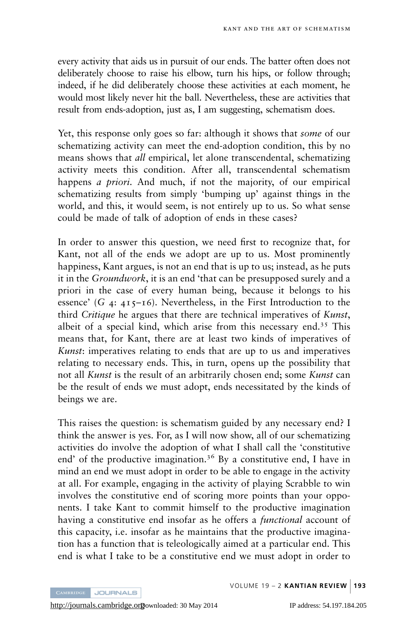every activity that aids us in pursuit of our ends. The batter often does not deliberately choose to raise his elbow, turn his hips, or follow through; indeed, if he did deliberately choose these activities at each moment, he would most likely never hit the ball. Nevertheless, these are activities that result from ends-adoption, just as, I am suggesting, schematism does.

Yet, this response only goes so far: although it shows that *some* of our schematizing activity can meet the end-adoption condition, this by no means shows that *all* empirical, let alone transcendental, schematizing activity meets this condition. After all, transcendental schematism happens *a priori*. And much, if not the majority, of our empirical schematizing results from simply 'bumping up' against things in the world, and this, it would seem, is not entirely up to us. So what sense could be made of talk of adoption of ends in these cases?

In order to answer this question, we need first to recognize that, for Kant, not all of the ends we adopt are up to us. Most prominently happiness, Kant argues, is not an end that is up to us; instead, as he puts it in the Groundwork, it is an end 'that can be presupposed surely and a priori in the case of every human being, because it belongs to his essence' (G  $4: 415-16$ ). Nevertheless, in the First Introduction to the third Critique he argues that there are technical imperatives of Kunst, albeit of a special kind, which arise from this necessary end.<sup>35</sup> This means that, for Kant, there are at least two kinds of imperatives of Kunst: imperatives relating to ends that are up to us and imperatives relating to necessary ends. This, in turn, opens up the possibility that not all Kunst is the result of an arbitrarily chosen end; some Kunst can be the result of ends we must adopt, ends necessitated by the kinds of beings we are.

This raises the question: is schematism guided by any necessary end? I think the answer is yes. For, as I will now show, all of our schematizing activities do involve the adoption of what I shall call the 'constitutive end' of the productive imagination.<sup>36</sup> By a constitutive end, I have in mind an end we must adopt in order to be able to engage in the activity at all. For example, engaging in the activity of playing Scrabble to win involves the constitutive end of scoring more points than your opponents. I take Kant to commit himself to the productive imagination having a constitutive end insofar as he offers a *functional* account of this capacity, i.e. insofar as he maintains that the productive imagination has a function that is teleologically aimed at a particular end. This end is what I take to be a constitutive end we must adopt in order to

**JOURNALS**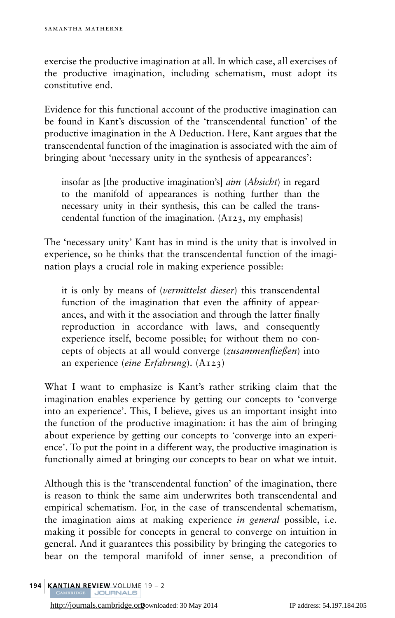exercise the productive imagination at all. In which case, all exercises of the productive imagination, including schematism, must adopt its constitutive end.

Evidence for this functional account of the productive imagination can be found in Kant's discussion of the 'transcendental function' of the productive imagination in the A Deduction. Here, Kant argues that the transcendental function of the imagination is associated with the aim of bringing about 'necessary unity in the synthesis of appearances':

insofar as [the productive imagination's] aim (Absicht) in regard to the manifold of appearances is nothing further than the necessary unity in their synthesis, this can be called the transcendental function of the imagination. (A123, my emphasis)

The 'necessary unity' Kant has in mind is the unity that is involved in experience, so he thinks that the transcendental function of the imagination plays a crucial role in making experience possible:

it is only by means of (vermittelst dieser) this transcendental function of the imagination that even the affinity of appearances, and with it the association and through the latter finally reproduction in accordance with laws, and consequently experience itself, become possible; for without them no concepts of objects at all would converge (zusammenfließen) into an experience (eine Erfahrung). (A123)

What I want to emphasize is Kant's rather striking claim that the imagination enables experience by getting our concepts to 'converge into an experience'. This, I believe, gives us an important insight into the function of the productive imagination: it has the aim of bringing about experience by getting our concepts to 'converge into an experience'. To put the point in a different way, the productive imagination is functionally aimed at bringing our concepts to bear on what we intuit.

Although this is the 'transcendental function' of the imagination, there is reason to think the same aim underwrites both transcendental and empirical schematism. For, in the case of transcendental schematism, the imagination aims at making experience in general possible, i.e. making it possible for concepts in general to converge on intuition in general. And it guarantees this possibility by bringing the categories to bear on the temporal manifold of inner sense, a precondition of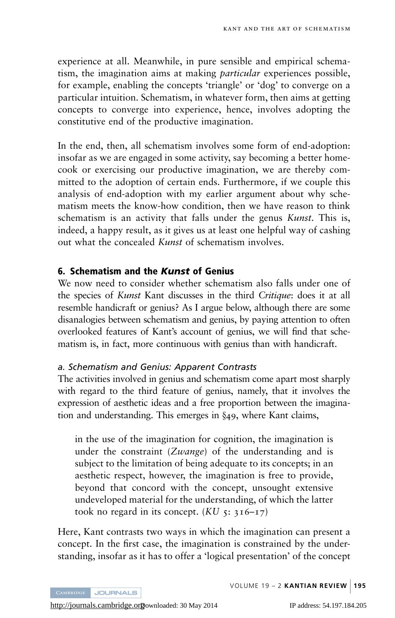experience at all. Meanwhile, in pure sensible and empirical schematism, the imagination aims at making *particular* experiences possible, for example, enabling the concepts 'triangle' or 'dog' to converge on a particular intuition. Schematism, in whatever form, then aims at getting concepts to converge into experience, hence, involves adopting the constitutive end of the productive imagination.

In the end, then, all schematism involves some form of end-adoption: insofar as we are engaged in some activity, say becoming a better homecook or exercising our productive imagination, we are thereby committed to the adoption of certain ends. Furthermore, if we couple this analysis of end-adoption with my earlier argument about why schematism meets the know-how condition, then we have reason to think schematism is an activity that falls under the genus Kunst. This is, indeed, a happy result, as it gives us at least one helpful way of cashing out what the concealed *Kunst* of schematism involves.

#### 6. Schematism and the Kunst of Genius

We now need to consider whether schematism also falls under one of the species of Kunst Kant discusses in the third Critique: does it at all resemble handicraft or genius? As I argue below, although there are some disanalogies between schematism and genius, by paying attention to often overlooked features of Kant's account of genius, we will find that schematism is, in fact, more continuous with genius than with handicraft.

#### a. Schematism and Genius: Apparent Contrasts

The activities involved in genius and schematism come apart most sharply with regard to the third feature of genius, namely, that it involves the expression of aesthetic ideas and a free proportion between the imagination and understanding. This emerges in §49, where Kant claims,

in the use of the imagination for cognition, the imagination is under the constraint (Zwange) of the understanding and is subject to the limitation of being adequate to its concepts; in an aesthetic respect, however, the imagination is free to provide, beyond that concord with the concept, unsought extensive undeveloped material for the understanding, of which the latter took no regard in its concept.  $(KU_5: 316-\frac{17}{2})$ 

Here, Kant contrasts two ways in which the imagination can present a concept. In the first case, the imagination is constrained by the understanding, insofar as it has to offer a 'logical presentation' of the concept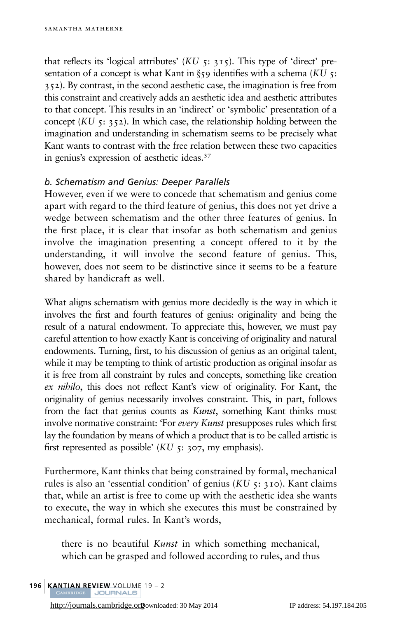that reflects its 'logical attributes'  $(KU_5; 315)$ . This type of 'direct' presentation of a concept is what Kant in  $\S$ 59 identifies with a schema (KU 5: 352). By contrast, in the second aesthetic case, the imagination is free from this constraint and creatively adds an aesthetic idea and aesthetic attributes to that concept. This results in an 'indirect' or 'symbolic' presentation of a concept  $(KU_5: 352)$ . In which case, the relationship holding between the imagination and understanding in schematism seems to be precisely what Kant wants to contrast with the free relation between these two capacities in genius's expression of aesthetic ideas.<sup>37</sup>

#### b. Schematism and Genius: Deeper Parallels

However, even if we were to concede that schematism and genius come apart with regard to the third feature of genius, this does not yet drive a wedge between schematism and the other three features of genius. In the first place, it is clear that insofar as both schematism and genius involve the imagination presenting a concept offered to it by the understanding, it will involve the second feature of genius. This, however, does not seem to be distinctive since it seems to be a feature shared by handicraft as well.

What aligns schematism with genius more decidedly is the way in which it involves the first and fourth features of genius: originality and being the result of a natural endowment. To appreciate this, however, we must pay careful attention to how exactly Kant is conceiving of originality and natural endowments. Turning, first, to his discussion of genius as an original talent, while it may be tempting to think of artistic production as original insofar as it is free from all constraint by rules and concepts, something like creation ex nihilo, this does not reflect Kant's view of originality. For Kant, the originality of genius necessarily involves constraint. This, in part, follows from the fact that genius counts as *Kunst*, something Kant thinks must involve normative constraint: 'For every Kunst presupposes rules which first lay the foundation by means of which a product that is to be called artistic is first represented as possible'  $(KU_5: 307, mV_5)$  emphasis).

Furthermore, Kant thinks that being constrained by formal, mechanical rules is also an 'essential condition' of genius  $(KU_5: 310)$ . Kant claims that, while an artist is free to come up with the aesthetic idea she wants to execute, the way in which she executes this must be constrained by mechanical, formal rules. In Kant's words,

there is no beautiful Kunst in which something mechanical, which can be grasped and followed according to rules, and thus

196 | KANTIAN REVIEW VOLUME 19 – 2<br>CAMBRIDGE | JOURNALS

<http://journals.cambridge.org>Downloaded: 30 May 2014 IP address: 54.197.184.205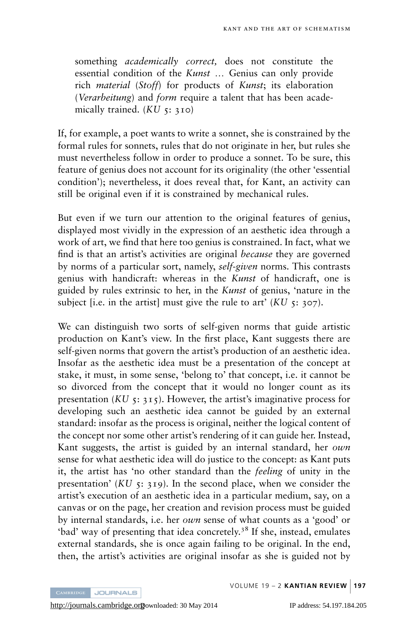something *academically correct*, does not constitute the essential condition of the *Kunst* ... Genius can only provide rich material (Stoff) for products of Kunst; its elaboration (Verarbeitung) and form require a talent that has been academically trained.  $(KU_5: 310)$ 

If, for example, a poet wants to write a sonnet, she is constrained by the formal rules for sonnets, rules that do not originate in her, but rules she must nevertheless follow in order to produce a sonnet. To be sure, this feature of genius does not account for its originality (the other 'essential condition'); nevertheless, it does reveal that, for Kant, an activity can still be original even if it is constrained by mechanical rules.

But even if we turn our attention to the original features of genius, displayed most vividly in the expression of an aesthetic idea through a work of art, we find that here too genius is constrained. In fact, what we find is that an artist's activities are original *because* they are governed by norms of a particular sort, namely, self-given norms. This contrasts genius with handicraft: whereas in the Kunst of handicraft, one is guided by rules extrinsic to her, in the Kunst of genius, 'nature in the subject [i.e. in the artist] must give the rule to art'  $(KU_5: 307)$ .

We can distinguish two sorts of self-given norms that guide artistic production on Kant's view. In the first place, Kant suggests there are self-given norms that govern the artist's production of an aesthetic idea. Insofar as the aesthetic idea must be a presentation of the concept at stake, it must, in some sense, 'belong to' that concept, i.e. it cannot be so divorced from the concept that it would no longer count as its presentation  $(KU_5: 315)$ . However, the artist's imaginative process for developing such an aesthetic idea cannot be guided by an external standard: insofar as the process is original, neither the logical content of the concept nor some other artist's rendering of it can guide her. Instead, Kant suggests, the artist is guided by an internal standard, her own sense for what aesthetic idea will do justice to the concept: as Kant puts it, the artist has 'no other standard than the feeling of unity in the presentation'  $(KU_5: 319)$ . In the second place, when we consider the artist's execution of an aesthetic idea in a particular medium, say, on a canvas or on the page, her creation and revision process must be guided by internal standards, i.e. her *own* sense of what counts as a 'good' or 'bad' way of presenting that idea concretely.<sup>38</sup> If she, instead, emulates external standards, she is once again failing to be original. In the end, then, the artist's activities are original insofar as she is guided not by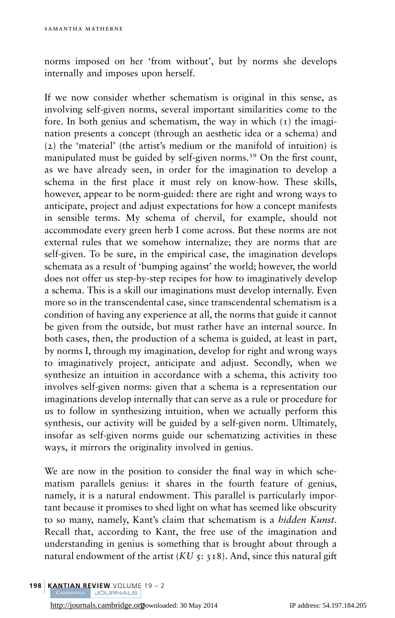norms imposed on her 'from without', but by norms she develops internally and imposes upon herself.

If we now consider whether schematism is original in this sense, as involving self-given norms, several important similarities come to the fore. In both genius and schematism, the way in which (1) the imagination presents a concept (through an aesthetic idea or a schema) and (2) the 'material' (the artist's medium or the manifold of intuition) is manipulated must be guided by self-given norms.<sup>39</sup> On the first count, as we have already seen, in order for the imagination to develop a schema in the first place it must rely on know-how. These skills, however, appear to be norm-guided: there are right and wrong ways to anticipate, project and adjust expectations for how a concept manifests in sensible terms. My schema of chervil, for example, should not accommodate every green herb I come across. But these norms are not external rules that we somehow internalize; they are norms that are self-given. To be sure, in the empirical case, the imagination develops schemata as a result of 'bumping against' the world; however, the world does not offer us step-by-step recipes for how to imaginatively develop a schema. This is a skill our imaginations must develop internally. Even more so in the transcendental case, since transcendental schematism is a condition of having any experience at all, the norms that guide it cannot be given from the outside, but must rather have an internal source. In both cases, then, the production of a schema is guided, at least in part, by norms I, through my imagination, develop for right and wrong ways to imaginatively project, anticipate and adjust. Secondly, when we synthesize an intuition in accordance with a schema, this activity too involves self-given norms: given that a schema is a representation our imaginations develop internally that can serve as a rule or procedure for us to follow in synthesizing intuition, when we actually perform this synthesis, our activity will be guided by a self-given norm. Ultimately, insofar as self-given norms guide our schematizing activities in these ways, it mirrors the originality involved in genius.

We are now in the position to consider the final way in which schematism parallels genius: it shares in the fourth feature of genius, namely, it is a natural endowment. This parallel is particularly important because it promises to shed light on what has seemed like obscurity to so many, namely, Kant's claim that schematism is a hidden Kunst. Recall that, according to Kant, the free use of the imagination and understanding in genius is something that is brought about through a natural endowment of the artist (KU  $\zeta$ : 318). And, since this natural gift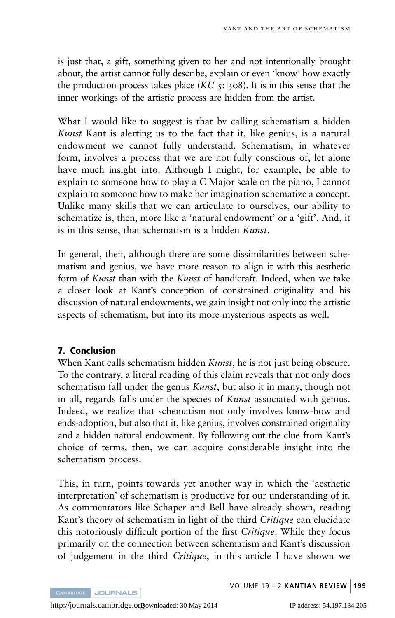is just that, a gift, something given to her and not intentionally brought about, the artist cannot fully describe, explain or even 'know' how exactly the production process takes place  $(KU, \tau; 308)$ . It is in this sense that the inner workings of the artistic process are hidden from the artist.

What I would like to suggest is that by calling schematism a hidden Kunst Kant is alerting us to the fact that it, like genius, is a natural endowment we cannot fully understand. Schematism, in whatever form, involves a process that we are not fully conscious of, let alone have much insight into. Although I might, for example, be able to explain to someone how to play a C Major scale on the piano, I cannot explain to someone how to make her imagination schematize a concept. Unlike many skills that we can articulate to ourselves, our ability to schematize is, then, more like a 'natural endowment' or a 'gift'. And, it is in this sense, that schematism is a hidden Kunst.

In general, then, although there are some dissimilarities between schematism and genius, we have more reason to align it with this aesthetic form of Kunst than with the Kunst of handicraft. Indeed, when we take a closer look at Kant's conception of constrained originality and his discussion of natural endowments, we gain insight not only into the artistic aspects of schematism, but into its more mysterious aspects as well.

### 7. Conclusion

When Kant calls schematism hidden Kunst, he is not just being obscure. To the contrary, a literal reading of this claim reveals that not only does schematism fall under the genus *Kunst*, but also it in many, though not in all, regards falls under the species of Kunst associated with genius. Indeed, we realize that schematism not only involves know-how and ends-adoption, but also that it, like genius, involves constrained originality and a hidden natural endowment. By following out the clue from Kant's choice of terms, then, we can acquire considerable insight into the schematism process.

This, in turn, points towards yet another way in which the 'aesthetic interpretation' of schematism is productive for our understanding of it. As commentators like Schaper and Bell have already shown, reading Kant's theory of schematism in light of the third Critique can elucidate this notoriously difficult portion of the first Critique. While they focus primarily on the connection between schematism and Kant's discussion of judgement in the third Critique, in this article I have shown we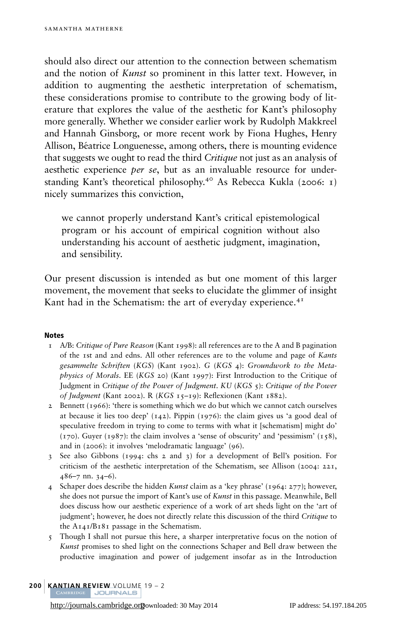should also direct our attention to the connection between schematism and the notion of Kunst so prominent in this latter text. However, in addition to augmenting the aesthetic interpretation of schematism, these considerations promise to contribute to the growing body of literature that explores the value of the aesthetic for Kant's philosophy more generally. Whether we consider earlier work by Rudolph Makkreel and Hannah Ginsborg, or more recent work by Fiona Hughes, Henry Allison, Béatrice Longuenesse, among others, there is mounting evidence that suggests we ought to read the third *Critique* not just as an analysis of aesthetic experience per se, but as an invaluable resource for under-standing Kant's theoretical philosophy.<sup>40</sup> As Rebecca Kukla ([2006](#page-25-0): 1) nicely summarizes this conviction,

we cannot properly understand Kant's critical epistemological program or his account of empirical cognition without also understanding his account of aesthetic judgment, imagination, and sensibility.

Our present discussion is intended as but one moment of this larger movement, the movement that seeks to elucidate the glimmer of insight Kant had in the Schematism: the art of everyday experience. $4<sup>T</sup>$ 

#### Notes

- $1$  A/B: Critique of Pure Reason (Kant [1998](#page-24-0)): all references are to the A and B pagination of the 1st and 2nd edns. All other references are to the volume and page of Kants gesammelte Schriften (KGS) (Kant [1902](#page-24-0)). G (KGS 4): Groundwork to the Meta*physics of Morals.* EE (*KGS* 20) (Kant [1997](#page-24-0)): First Introduction to the Critique of Judgment in Critique of the Power of Judgment. KU (KGS 5): Critique of the Power of Judgment (Kant [2002](#page-24-0)). R (KGS 15–19): Reflexionen (Kant [1882](#page-24-0)).
- 2 Bennett  $(1966)$  $(1966)$  $(1966)$ : 'there is something which we do but which we cannot catch ourselves at because it lies too deep'  $(142)$ . Pippin  $(1976)$  $(1976)$  $(1976)$ : the claim gives us 'a good deal of speculative freedom in trying to come to terms with what it [schematism] might do'  $(170)$ . Guyer  $(1987)$  $(1987)$  $(1987)$ : the claim involves a 'sense of obscurity' and 'pessimism'  $(158)$ , and in (2006): it involves 'melodramatic language' (96).
- 3 See also Gibbons ([1994](#page-24-0): chs 2 and 3) for a development of Bell's position. For criticism of the aesthetic interpretation of the Schematism, see Allison ([2004](#page-24-0): 221, 486–7 nn. 34–6).
- 4 Schaper does describe the hidden Kunst claim as a 'key phrase' (1964: 277); however, she does not pursue the import of Kant's use of Kunst in this passage. Meanwhile, Bell does discuss how our aesthetic experience of a work of art sheds light on the 'art of judgment'; however, he does not directly relate this discussion of the third Critique to the A141/B181 passage in the Schematism.
- 5 Though I shall not pursue this here, a sharper interpretative focus on the notion of Kunst promises to shed light on the connections Schaper and Bell draw between the productive imagination and power of judgement insofar as in the Introduction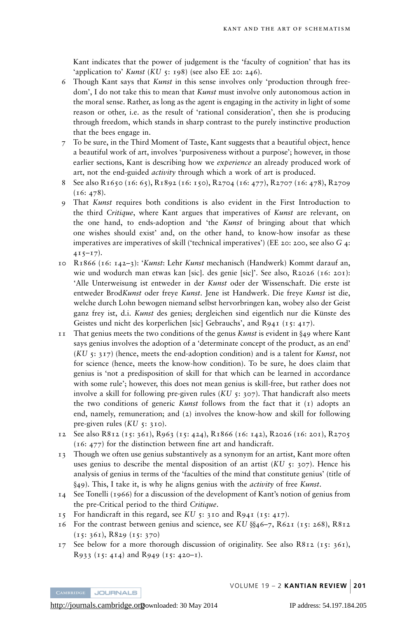Kant indicates that the power of judgement is the 'faculty of cognition' that has its 'application to' Kunst (KU 5: 198) (see also EE 20: 246).

- 6 Though Kant says that Kunst in this sense involves only 'production through freedom', I do not take this to mean that *Kunst* must involve only autonomous action in the moral sense. Rather, as long as the agent is engaging in the activity in light of some reason or other, i.e. as the result of 'rational consideration', then she is producing through freedom, which stands in sharp contrast to the purely instinctive production that the bees engage in.
- 7 To be sure, in the Third Moment of Taste, Kant suggests that a beautiful object, hence a beautiful work of art, involves 'purposiveness without a purpose'; however, in those earlier sections, Kant is describing how we *experience* an already produced work of art, not the end-guided *activity* through which a work of art is produced.
- 8 See also R1650 (16: 65), R1892 (16: 150), R2704 (16: 477), R2707 (16: 478), R2709  $(16: 478).$
- 9 That Kunst requires both conditions is also evident in the First Introduction to the third Critique, where Kant argues that imperatives of Kunst are relevant, on the one hand, to ends-adoption and 'the Kunst of bringing about that which one wishes should exist' and, on the other hand, to know-how insofar as these imperatives are imperatives of skill ('technical imperatives') (EE 20: 200, see also G 4:  $415-17$ ).
- 10 R1866 (16: 142–3): 'Kunst: Lehr Kunst mechanisch (Handwerk) Kommt darauf an, wie und wodurch man etwas kan [sic]. des genie [sic]'. See also, R2026 (16: 201): 'Alle Unterweisung ist entweder in der Kunst oder der Wissenschaft. Die erste ist entweder BrodKunst oder freye Kunst. Jene ist Handwerk. Die freye Kunst ist die, welche durch Lohn bewogen niemand selbst hervorbringen kan, wobey also der Geist ganz frey ist, d.i. Kunst des genies; dergleichen sind eigentlich nur die Künste des Geistes und nicht des korperlichen [sic] Gebrauchs', and R941 (15: 417).
- $11$  That genius meets the two conditions of the genus *Kunst* is evident in §49 where Kant says genius involves the adoption of a 'determinate concept of the product, as an end'  $(KU_5: 317)$  (hence, meets the end-adoption condition) and is a talent for Kunst, not for science (hence, meets the know-how condition). To be sure, he does claim that genius is 'not a predisposition of skill for that which can be learned in accordance with some rule'; however, this does not mean genius is skill-free, but rather does not involve a skill for following pre-given rules  $(KU, \tau; 307)$ . That handicraft also meets the two conditions of generic *Kunst* follows from the fact that it  $(I)$  adopts an end, namely, remuneration; and (2) involves the know-how and skill for following pre-given rules  $(KU_5: 310)$ .
- 12 See also R812 (15: 361), R963 (15: 424), R1866 (16: 142), R2026 (16: 201), R2705 (16: 477) for the distinction between fine art and handicraft.
- 13 Though we often use genius substantively as a synonym for an artist, Kant more often uses genius to describe the mental disposition of an artist  $(KU, 5: 307)$ . Hence his analysis of genius in terms of the 'faculties of the mind that constitute genius' (title of §49). This, I take it, is why he aligns genius with the *activity* of free Kunst.
- 14 See Tonelli ([1966](#page-25-0)) for a discussion of the development of Kant's notion of genius from the pre-Critical period to the third Critique.
- $15$  For handicraft in this regard, see KU  $5: 310$  and R941 (15: 417).
- 16 For the contrast between genius and science, see KU  $\S$ 46–7, R621 (15: 268), R812 (15: 361), R829 (15: 370)
- 17 See below for a more thorough discussion of originality. See also R812 (15: 361), R933 (15: 414) and R949 (15: 420-1).

**JOURNALS**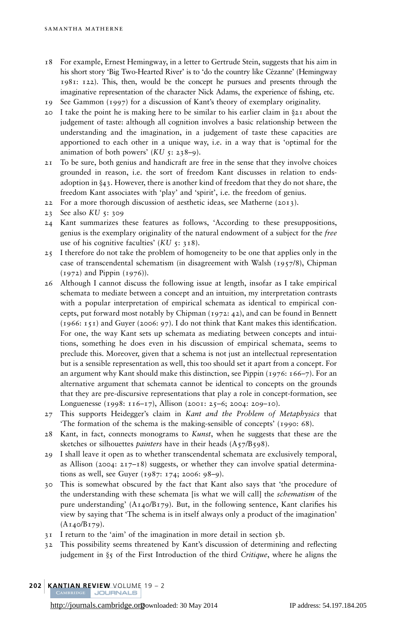- 18 For example, Ernest Hemingway, in a letter to Gertrude Stein, suggests that his aim in his short story 'Big Two-Hearted River' is to 'do the country like Cézanne' (Hemingway [1981](#page-24-0): 122). This, then, would be the concept he pursues and presents through the imaginative representation of the character Nick Adams, the experience of fishing, etc.
- 19 See Gammon ([1997](#page-24-0)) for a discussion of Kant's theory of exemplary originality.
- 20 I take the point he is making here to be similar to his earlier claim in  $\S$ 21 about the judgement of taste: although all cognition involves a basic relationship between the understanding and the imagination, in a judgement of taste these capacities are apportioned to each other in a unique way, i.e. in a way that is 'optimal for the animation of both powers'  $(KU_5: 238-9)$ .
- 21 To be sure, both genius and handicraft are free in the sense that they involve choices grounded in reason, i.e. the sort of freedom Kant discusses in relation to endsadoption in  $\S$ 43. However, there is another kind of freedom that they do not share, the freedom Kant associates with 'play' and 'spirit', i.e. the freedom of genius.
- 22 For a more thorough discussion of aesthetic ideas, see Matherne ([2013](#page-25-0)).
- 23 See also KU 5: 309
- 24 Kant summarizes these features as follows, 'According to these presuppositions, genius is the exemplary originality of the natural endowment of a subject for the free use of his cognitive faculties'  $(KU_5: 318)$ .
- 25 I therefore do not take the problem of homogeneity to be one that applies only in the case of transcendental schematism (in disagreement with Walsh ([1957](#page-25-0)/8), Chipman  $(1972)$  $(1972)$  $(1972)$  and Pippin  $(1976)$  $(1976)$  $(1976)$ ).
- 26 Although I cannot discuss the following issue at length, insofar as I take empirical schemata to mediate between a concept and an intuition, my interpretation contrasts with a popular interpretation of empirical schemata as identical to empirical concepts, put forward most notably by Chipman ([1972](#page-24-0): 42), and can be found in Bennett ([1966](#page-24-0): 151) and Guyer ([2006](#page-24-0): 97). I do not think that Kant makes this identification. For one, the way Kant sets up schemata as mediating between concepts and intuitions, something he does even in his discussion of empirical schemata, seems to preclude this. Moreover, given that a schema is not just an intellectual representation but is a sensible representation as well, this too should set it apart from a concept. For an argument why Kant should make this distinction, see Pippin ([1976](#page-25-0): 166–7). For an alternative argument that schemata cannot be identical to concepts on the grounds that they are pre-discursive representations that play a role in concept-formation, see Longuenesse ([1998](#page-25-0): 116–17), Allison ([2001](#page-24-0): 25–6; [2004](#page-24-0): 209–10).
- 27 This supports Heidegger's claim in Kant and the Problem of Metaphysics that 'The formation of the schema is the making-sensible of concepts' ([1990](#page-24-0): 68).
- 28 Kant, in fact, connects monograms to Kunst, when he suggests that these are the sketches or silhouettes *painters* have in their heads  $(A_57/B_598)$ .
- 29 I shall leave it open as to whether transcendental schemata are exclusively temporal, as Allison ([2004](#page-24-0):  $217-18$ ) suggests, or whether they can involve spatial determinations as well, see Guyer ([1987](#page-24-0): 174; [2006](#page-24-0): 98–9).
- 30 This is somewhat obscured by the fact that Kant also says that 'the procedure of the understanding with these schemata [is what we will call] the *schematism* of the pure understanding'  $(A_{14} \circ B_{179})$ . But, in the following sentence, Kant clarifies his view by saying that 'The schema is in itself always only a product of the imagination' (A140/B179).
- 31 I return to the 'aim' of the imagination in more detail in section 5b.
- 32 This possibility seems threatened by Kant's discussion of determining and reflecting judgement in  $\S$ 5 of the First Introduction of the third Critique, where he aligns the
- **202 | KANTIAN REVIEW VOLUME 19 2**<br>| CAMBRIDGE | JOURNALS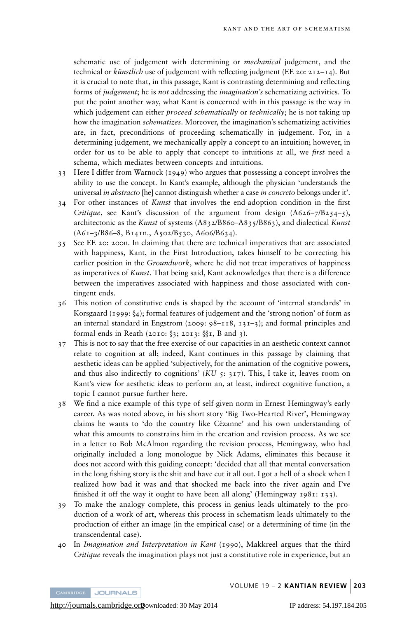schematic use of judgement with determining or *mechanical* judgement, and the technical or *künstlich* use of judgement with reflecting judgment (EE 20: 212–14). But it is crucial to note that, in this passage, Kant is contrasting determining and reflecting forms of *judgement*; he is not addressing the *imagination's* schematizing activities. To put the point another way, what Kant is concerned with in this passage is the way in which judgement can either *proceed schematically* or *technically*; he is not taking up how the imagination *schematizes*. Moreover, the imagination's schematizing activities are, in fact, preconditions of proceeding schematically in judgement. For, in a determining judgement, we mechanically apply a concept to an intuition; however, in order for us to be able to apply that concept to intuitions at all, we *first* need a schema, which mediates between concepts and intuitions.

- 33 Here I differ from Warnock ([1949](#page-25-0)) who argues that possessing a concept involves the ability to use the concept. In Kant's example, although the physician 'understands the universal *in abstracto* [he] cannot distinguish whether a case *in concreto* belongs under it'.
- 34 For other instances of Kunst that involves the end-adoption condition in the first Critique, see Kant's discussion of the argument from design  $(A626-7/B254-5)$ , architectonic as the Kunst of systems (A832/B860-A835/B863), and dialectical Kunst (A61–3/B86–8, B141n., A502/B530, A606/B634).
- 35 See EE 20: 200n. In claiming that there are technical imperatives that are associated with happiness, Kant, in the First Introduction, takes himself to be correcting his earlier position in the *Groundwork*, where he did not treat imperatives of happiness as imperatives of Kunst. That being said, Kant acknowledges that there is a difference between the imperatives associated with happiness and those associated with contingent ends.
- 36 This notion of constitutive ends is shaped by the account of 'internal standards' in Korsgaard ([1999](#page-24-0):  $\S_4$ ); formal features of judgement and the 'strong notion' of form as an internal standard in Engstrom ([2009](#page-24-0): 98–118, 131–3); and formal principles and formal ends in Reath ([2010](#page-25-0):  $\S$ 3; [2013](#page-25-0):  $\S$ I, B and 3).
- 37 This is not to say that the free exercise of our capacities in an aesthetic context cannot relate to cognition at all; indeed, Kant continues in this passage by claiming that aesthetic ideas can be applied 'subjectively, for the animation of the cognitive powers, and thus also indirectly to cognitions'  $(KU_5: 317)$ . This, I take it, leaves room on Kant's view for aesthetic ideas to perform an, at least, indirect cognitive function, a topic I cannot pursue further here.
- 38 We find a nice example of this type of self-given norm in Ernest Hemingway's early career. As was noted above, in his short story 'Big Two-Hearted River', Hemingway claims he wants to 'do the country like Cézanne' and his own understanding of what this amounts to constrains him in the creation and revision process. As we see in a letter to Bob McAlmon regarding the revision process, Hemingway, who had originally included a long monologue by Nick Adams, eliminates this because it does not accord with this guiding concept: 'decided that all that mental conversation in the long fishing story is the shit and have cut it all out. I got a hell of a shock when I realized how bad it was and that shocked me back into the river again and I've finished it off the way it ought to have been all along' (Hemingway [1981](#page-24-0): 133).
- 39 To make the analogy complete, this process in genius leads ultimately to the production of a work of art, whereas this process in schematism leads ultimately to the production of either an image (in the empirical case) or a determining of time (in the transcendental case).
- 40 In Imagination and Interpretation in Kant (1990), Makkreel argues that the third Critique reveals the imagination plays not just a constitutive role in experience, but an

**JOURNALS**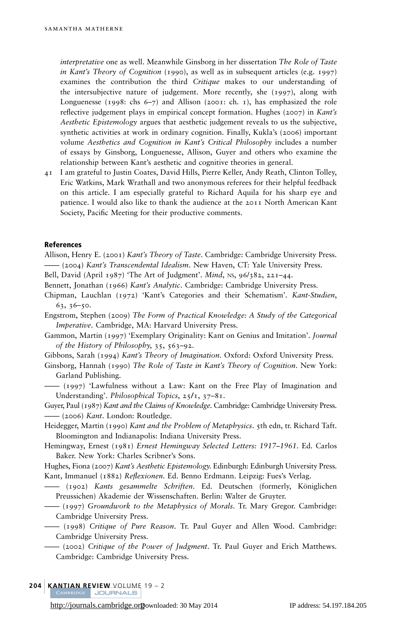<span id="page-24-0"></span>interpretative one as well. Meanwhile Ginsborg in her dissertation The Role of Taste in Kant's Theory of Cognition (1990), as well as in subsequent articles (e.g. 1997) examines the contribution the third Critique makes to our understanding of the intersubjective nature of judgement. More recently, she (1997), along with Longuenesse ([1998](#page-25-0): chs 6-7) and Allison (2001: ch. 1), has emphasized the role reflective judgement plays in empirical concept formation. Hughes ( $2007$ ) in Kant's Aesthetic Epistemology argues that aesthetic judgement reveals to us the subjective, synthetic activities at work in ordinary cognition. Finally, Kukla's (2006) important volume Aesthetics and Cognition in Kant's Critical Philosophy includes a number of essays by Ginsborg, Longuenesse, Allison, Guyer and others who examine the relationship between Kant's aesthetic and cognitive theories in general.

41 I am grateful to Justin Coates, David Hills, Pierre Keller, Andy Reath, Clinton Tolley, Eric Watkins, Mark Wrathall and two anonymous referees for their helpful feedback on this article. I am especially grateful to Richard Aquila for his sharp eye and patience. I would also like to thank the audience at the 2011 North American Kant Society, Pacific Meeting for their productive comments.

#### References

Allison, Henry E. (2001) Kant's Theory of Taste. Cambridge: Cambridge University Press. —— (2004) Kant's Transcendental Idealism. New Haven, CT: Yale University Press.

- Bell, David (April 1987) 'The Art of Judgment'. Mind, NS, 96/382, 221–44.
- Bennett, Jonathan (1966) Kant's Analytic. Cambridge: Cambridge University Press.
- Chipman, Lauchlan (1972) 'Kant's Categories and their Schematism'. Kant-Studien, 63, 36–50.

Engstrom, Stephen (2009) The Form of Practical Knowledge: A Study of the Categorical Imperative. Cambridge, MA: Harvard University Press.

Gammon, Martin (1997) 'Exemplary Originality: Kant on Genius and Imitation'. Journal of the History of Philosophy, 35, 563–92.

Gibbons, Sarah (1994) Kant's Theory of Imagination. Oxford: Oxford University Press.

Ginsborg, Hannah (1990) The Role of Taste in Kant's Theory of Cognition. New York: Garland Publishing.

—— (1997) 'Lawfulness without a Law: Kant on the Free Play of Imagination and Understanding'. Philosophical Topics, 25/1, 37–81.

Guyer, Paul (1987) Kant and the Claims of Knowledge. Cambridge: Cambridge University Press. —— (2006) Kant. London: Routledge.

Heidegger, Martin (1990) Kant and the Problem of Metaphysics. 5th edn, tr. Richard Taft. Bloomington and Indianapolis: Indiana University Press.

Hemingway, Ernest (1981) Ernest Hemingway Selected Letters: 1917–1961. Ed. Carlos Baker. New York: Charles Scribner's Sons.

Hughes, Fiona (2007) Kant's Aesthetic Epistemology. Edinburgh: Edinburgh University Press. Kant, Immanuel (1882) Reflexionen. Ed. Benno Erdmann. Leipzig: Fues's Verlag.

<sup>-</sup> (1902) Kants gesammelte Schriften. Ed. Deutschen (formerly, Königlichen Preussichen) Akademie der Wissenschaften. Berlin: Walter de Gruyter.

—— (1997) Groundwork to the Metaphysics of Morals. Tr. Mary Gregor. Cambridge: Cambridge University Press.

—— (1998) Critique of Pure Reason. Tr. Paul Guyer and Allen Wood. Cambridge: Cambridge University Press.

—— (2002) Critique of the Power of Judgment. Tr. Paul Guyer and Erich Matthews. Cambridge: Cambridge University Press.

204 | KANTIAN REVIEW VOLUME 19 – 2